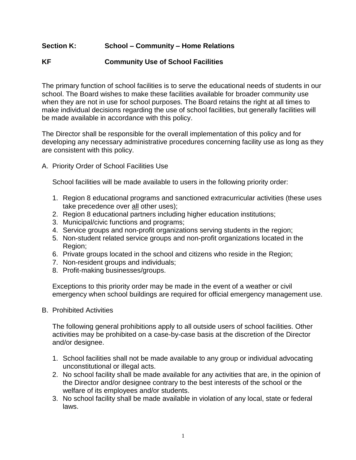## **Section K: School – Community – Home Relations**

## **KF Community Use of School Facilities**

The primary function of school facilities is to serve the educational needs of students in our school. The Board wishes to make these facilities available for broader community use when they are not in use for school purposes. The Board retains the right at all times to make individual decisions regarding the use of school facilities, but generally facilities will be made available in accordance with this policy.

The Director shall be responsible for the overall implementation of this policy and for developing any necessary administrative procedures concerning facility use as long as they are consistent with this policy.

A. Priority Order of School Facilities Use

School facilities will be made available to users in the following priority order:

- 1. Region 8 educational programs and sanctioned extracurricular activities (these uses take precedence over all other uses);
- 2. Region 8 educational partners including higher education institutions;
- 3. Municipal/civic functions and programs;
- 4. Service groups and non-profit organizations serving students in the region;
- 5. Non-student related service groups and non-profit organizations located in the Region;
- 6. Private groups located in the school and citizens who reside in the Region;
- 7. Non-resident groups and individuals;
- 8. Profit-making businesses/groups.

Exceptions to this priority order may be made in the event of a weather or civil emergency when school buildings are required for official emergency management use.

B. Prohibited Activities

The following general prohibitions apply to all outside users of school facilities. Other activities may be prohibited on a case-by-case basis at the discretion of the Director and/or designee.

- 1. School facilities shall not be made available to any group or individual advocating unconstitutional or illegal acts.
- 2. No school facility shall be made available for any activities that are, in the opinion of the Director and/or designee contrary to the best interests of the school or the welfare of its employees and/or students.
- 3. No school facility shall be made available in violation of any local, state or federal laws.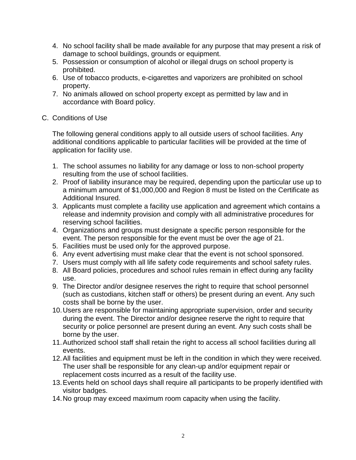- 4. No school facility shall be made available for any purpose that may present a risk of damage to school buildings, grounds or equipment.
- 5. Possession or consumption of alcohol or illegal drugs on school property is prohibited.
- 6. Use of tobacco products, e-cigarettes and vaporizers are prohibited on school property.
- 7. No animals allowed on school property except as permitted by law and in accordance with Board policy.
- C. Conditions of Use

The following general conditions apply to all outside users of school facilities. Any additional conditions applicable to particular facilities will be provided at the time of application for facility use.

- 1. The school assumes no liability for any damage or loss to non-school property resulting from the use of school facilities.
- 2. Proof of liability insurance may be required, depending upon the particular use up to a minimum amount of \$1,000,000 and Region 8 must be listed on the Certificate as Additional Insured.
- 3. Applicants must complete a facility use application and agreement which contains a release and indemnity provision and comply with all administrative procedures for reserving school facilities.
- 4. Organizations and groups must designate a specific person responsible for the event. The person responsible for the event must be over the age of 21.
- 5. Facilities must be used only for the approved purpose.
- 6. Any event advertising must make clear that the event is not school sponsored.
- 7. Users must comply with all life safety code requirements and school safety rules.
- 8. All Board policies, procedures and school rules remain in effect during any facility use.
- 9. The Director and/or designee reserves the right to require that school personnel (such as custodians, kitchen staff or others) be present during an event. Any such costs shall be borne by the user.
- 10.Users are responsible for maintaining appropriate supervision, order and security during the event. The Director and/or designee reserve the right to require that security or police personnel are present during an event. Any such costs shall be borne by the user.
- 11.Authorized school staff shall retain the right to access all school facilities during all events.
- 12.All facilities and equipment must be left in the condition in which they were received. The user shall be responsible for any clean-up and/or equipment repair or replacement costs incurred as a result of the facility use.
- 13.Events held on school days shall require all participants to be properly identified with visitor badges.
- 14.No group may exceed maximum room capacity when using the facility.